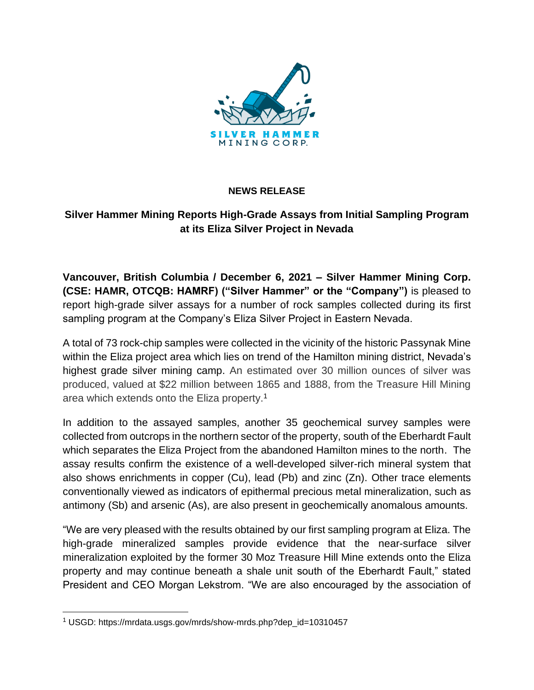

## **NEWS RELEASE**

# **Silver Hammer Mining Reports High-Grade Assays from Initial Sampling Program at its Eliza Silver Project in Nevada**

**Vancouver, British Columbia / December 6, 2021 – Silver Hammer Mining Corp. (CSE: HAMR, OTCQB: HAMRF) ("Silver Hammer" or the "Company")** is pleased to report high-grade silver assays for a number of rock samples collected during its first sampling program at the Company's Eliza Silver Project in Eastern Nevada.

A total of 73 rock-chip samples were collected in the vicinity of the historic Passynak Mine within the Eliza project area which lies on trend of the Hamilton mining district, Nevada's highest grade silver mining camp. An estimated over 30 million ounces of silver was produced, valued at \$22 million between 1865 and 1888, from the Treasure Hill Mining area which extends onto the Eliza property.<sup>1</sup>

In addition to the assayed samples, another 35 geochemical survey samples were collected from outcrops in the northern sector of the property, south of the Eberhardt Fault which separates the Eliza Project from the abandoned Hamilton mines to the north. The assay results confirm the existence of a well-developed silver-rich mineral system that also shows enrichments in copper (Cu), lead (Pb) and zinc (Zn). Other trace elements conventionally viewed as indicators of epithermal precious metal mineralization, such as antimony (Sb) and arsenic (As), are also present in geochemically anomalous amounts.

"We are very pleased with the results obtained by our first sampling program at Eliza. The high-grade mineralized samples provide evidence that the near-surface silver mineralization exploited by the former 30 Moz Treasure Hill Mine extends onto the Eliza property and may continue beneath a shale unit south of the Eberhardt Fault," stated President and CEO Morgan Lekstrom. "We are also encouraged by the association of

<sup>1</sup> USGD: https://mrdata.usgs.gov/mrds/show-mrds.php?dep\_id=10310457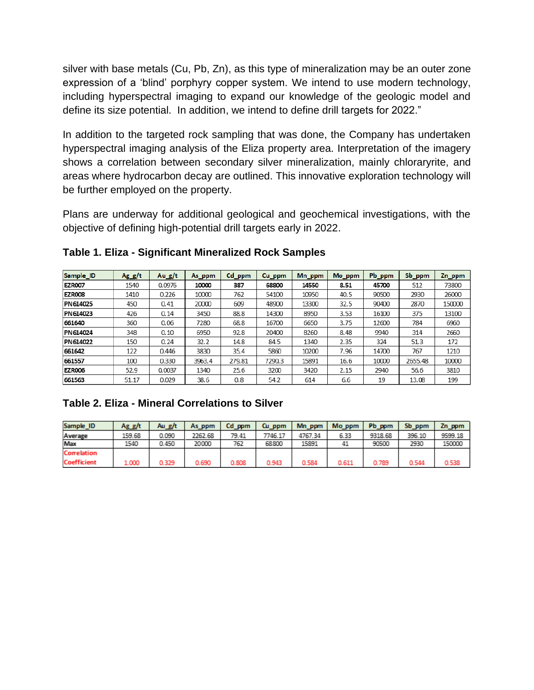silver with base metals (Cu, Pb, Zn), as this type of mineralization may be an outer zone expression of a 'blind' porphyry copper system. We intend to use modern technology, including hyperspectral imaging to expand our knowledge of the geologic model and define its size potential. In addition, we intend to define drill targets for 2022."

In addition to the targeted rock sampling that was done, the Company has undertaken hyperspectral imaging analysis of the Eliza property area. Interpretation of the imagery shows a correlation between secondary silver mineralization, mainly chloraryrite, and areas where hydrocarbon decay are outlined. This innovative exploration technology will be further employed on the property.

Plans are underway for additional geological and geochemical investigations, with the objective of defining high-potential drill targets early in 2022.

| Sample_ID     | $Ag_g/t$ | Au $g/t$ | As_ppm | Cd_ppm | Cu_ppm | Mn_ppm | Mo_ppm | Pb_ppm | Sb_ppm  | Zn_ppm |
|---------------|----------|----------|--------|--------|--------|--------|--------|--------|---------|--------|
| <b>EZR007</b> | 1540     | 0.0976   | 10000  | 387    | 68800  | 14550  | 8.51   | 45700  | 512     | 73800  |
| <b>EZR008</b> | 1410     | 0.226    | 10000  | 762    | 54100  | 10950  | 40.5   | 90500  | 2930    | 26000  |
| PN 614025     | 450      | 0.41     | 20000  | 609    | 48900  | 13300  | 32.5   | 90400  | 2870    | 150000 |
| PN614023      | 426      | 0.14     | 3450   | 88.8   | 14300  | 8950   | 3.53   | 16100  | 375     | 13100  |
| 661640        | 360      | 0.06     | 7280   | 68.8   | 16700  | 6650   | 3.75   | 12600  | 784     | 6960   |
| PN 614024     | 348      | 0.10     | 6950   | 92.8   | 20400  | 8260   | 8.48   | 9940   | 314     | 2660   |
| PN614022      | 150      | 0.24     | 32.2   | 14.8   | 84.5   | 1340   | 2.35   | 324    | 51.3    | 172    |
| 661642        | 122      | 0.446    | 3830   | 35.4   | 5860   | 10200  | 7.96   | 14700  | 767     | 1210   |
| 661557        | 100      | 0.330    | 3963.4 | 279.81 | 7290.3 | 15891  | 16.6   | 10000  | 2655.48 | 10000  |
| <b>EZR006</b> | 52.9     | 0.0037   | 1340   | 25.6   | 3200   | 3420   | 2.15   | 2940   | 56.6    | 3810   |
| 661563        | 51.17    | 0.029    | 38.6   | 0.8    | 54.2   | 614    | 6.6    | 19     | 13.08   | 199    |

**Table 1. Eliza - Significant Mineralized Rock Samples**

## **Table 2. Eliza - Mineral Correlations to Silver**

| Sample ID          | Ag_g/t | Au g/t | As ppm  | Cd ppm | Cu ppm  | Mn ppm  | Mo ppm | Pb ppm  | Sb ppm | Zn_ppm  |
|--------------------|--------|--------|---------|--------|---------|---------|--------|---------|--------|---------|
| Average            | 159.68 | 0.090  | 2262.68 | 79.41  | 7746.17 | 4767.34 | 6.33   | 9318.68 | 396.10 | 9599.18 |
| Max                | 1540   | 0.450  | 20000   | 762    | 68800   | 15891   | 41     | 90500   | 2930   | 150000  |
| <b>Correlation</b> |        |        |         |        |         |         |        |         |        |         |
| <b>Coefficient</b> | 1.000  | 0.329  | 0.690   | 0.808  | 0.943   | 0.584   | 0.611  | 0.789   | 0.544  | 0.538   |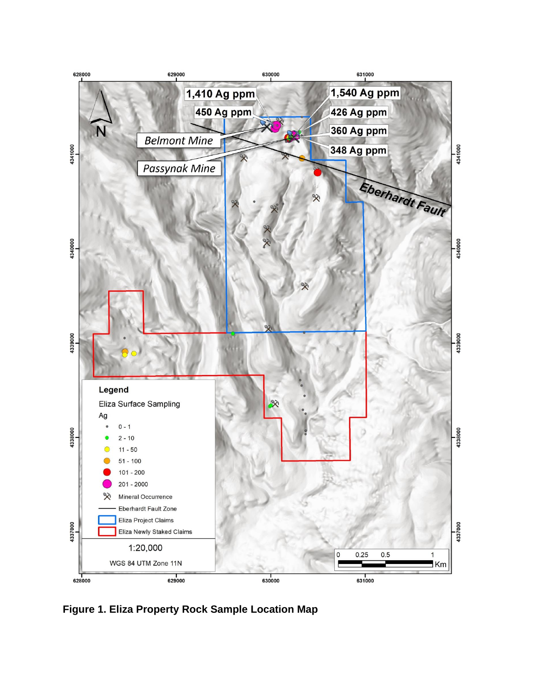

**Figure 1. Eliza Property Rock Sample Location Map**